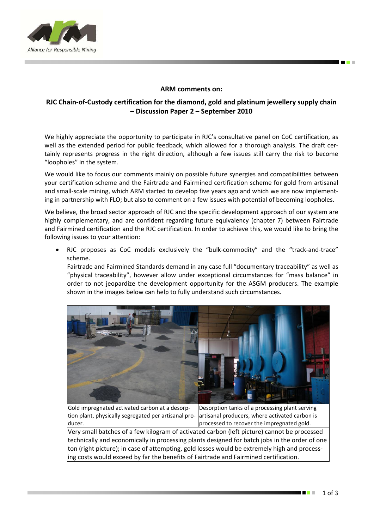

## **ARM comments on:**

## **RJC Chain‐of‐Custody certification for the diamond, gold and platinum jewellery supply chain – Discussion Paper 2 – September 2010**

We highly appreciate the opportunity to participate in RJC's consultative panel on CoC certification, as well as the extended period for public feedback, which allowed for a thorough analysis. The draft certainly represents progress in the right direction, although a few issues still carry the risk to become "loopholes" in the system.

We would like to focus our comments mainly on possible future synergies and compatibilities between your certification scheme and the Fairtrade and Fairmined certification scheme for gold from artisanal and small-scale mining, which ARM started to develop five years ago and which we are now implementing in partnership with FLO; but also to comment on a few issues with potential of becoming loopholes.

We believe, the broad sector approach of RJC and the specific development approach of our system are highly complementary, and are confident regarding future equivalency (chapter 7) between Fairtrade and Fairmined certification and the RJC certification. In order to achieve this, we would like to bring the following issues to your attention:

RJC proposes as CoC models exclusively the "bulk-commodity" and the "track-and-trace" scheme.

Fairtrade and Fairmined Standards demand in any case full "documentary traceability" as well as "physical traceability", however allow under exceptional circumstances for "mass balance" in order to not jeopardize the development opportunity for the ASGM producers. The example shown in the images below can help to fully understand such circumstances.



Gold impregnated activated carbon at a desorp‐ tion plant, physically segregated per artisanal pro‐ ducer.

Desorption tanks of a processing plant serving artisanal producers, where activated carbon is processed to recover the impregnated gold.

Very small batches of a few kilogram of activated carbon (left picture) cannot be processed technically and economically in processing plants designed for batch jobs in the order of one ton (right picture); in case of attempting, gold losses would be extremely high and process‐ ing costs would exceed by far the benefits of Fairtrade and Fairmined certification.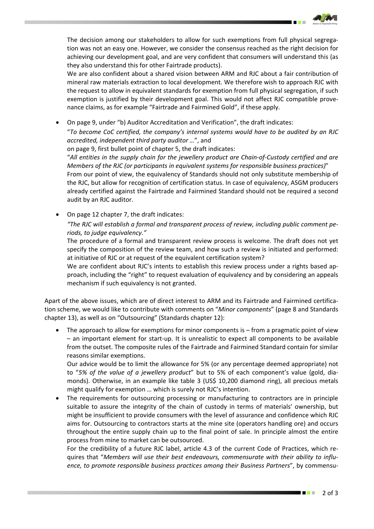The decision among our stakeholders to allow for such exemptions from full physical segregation was not an easy one. However, we consider the consensus reached as the right decision for achieving our development goal, and are very confident that consumers will understand this (as they also understand this for other Fairtrade products).

We are also confident about a shared vision between ARM and RJC about a fair contribution of mineral raw materials extraction to local development. We therefore wish to approach RJC with the request to allow in equivalent standards for exemption from full physical segregation, if such exemption is justified by their development goal. This would not affect RJC compatible prove‐ nance claims, as for example "Fairtrade and Fairmined Gold", if these apply.

• On page 9, under "b) Auditor Accreditation and Verification", the draft indicates: "*To become CoC certified, the company's internal systems would have to be audited by an RJC accredited, independent third party auditor …*", and

on page 9, first bullet point of chapter 5, the draft indicates:

"All entities in the supply chain for the jewellery product are Chain-of-Custody certified and are *Members of the RJC (or participants in equivalent systems for responsible business practices)*" From our point of view, the equivalency of Standards should not only substitute membership of the RJC, but allow for recognition of certification status. In case of equivalency, ASGM producers already certified against the Fairtrade and Fairmined Standard should not be required a second audit by an RJC auditor.

• On page 12 chapter 7, the draft indicates:

*"The RJC will establish a formal and transparent process of review, including public comment pe‐ riods, to judge equivalency."* 

The procedure of a formal and transparent review process is welcome. The draft does not yet specify the composition of the review team, and how such a review is initiated and performed: at initiative of RJC or at request of the equivalent certification system?

We are confident about RJC's intents to establish this review process under a rights based approach, including the "right" to request evaluation of equivalency and by considering an appeals mechanism if such equivalency is not granted.

Apart of the above issues, which are of direct interest to ARM and its Fairtrade and Fairmined certification scheme, we would like to contribute with comments on "*Minor components*" (page 8 and Standards chapter 13), as well as on "Outsourcing" (Standards chapter 12):

The approach to allow for exemptions for minor components is – from a pragmatic point of view – an important element for start‐up. It is unrealistic to expect all components to be available from the outset. The composite rules of the Fairtrade and Fairmined Standard contain for similar reasons similar exemptions.

Our advice would be to limit the allowance for 5% (or any percentage deemed appropriate) not to "*5% of the value of a jewellery product*" but to 5% of each component's value (gold, dia‐ monds). Otherwise, in an example like table 3 (US\$ 10,200 diamond ring), all precious metals might qualify for exemption … which is surely not RJC's intention.

The requirements for outsourcing processing or manufacturing to contractors are in principle suitable to assure the integrity of the chain of custody in terms of materials' ownership, but might be insufficient to provide consumers with the level of assurance and confidence which RJC aims for. Outsourcing to contractors starts at the mine site (operators handling ore) and occurs throughout the entire supply chain up to the final point of sale. In principle almost the entire process from mine to market can be outsourced.

For the credibility of a future RJC label, article 4.3 of the current Code of Practices, which re‐ quires that "*Members will use their best endeavours, commensurate with their ability to influ‐ ence, to promote responsible business practices among their Business Partners*", by commensu‐